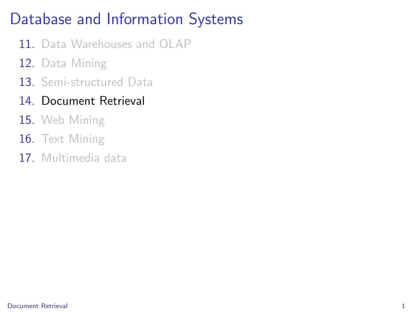# Database and Information Systems

- 11. Data Warehouses and OLAP
- 12. Data Mining
- 13. Semi-structured Data
- 14. Document Retrieval
- 15. Web Mining
- 16. Text Mining
- <span id="page-0-0"></span>17. Multimedia data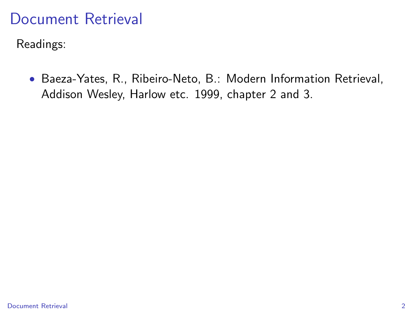Readings:

• Baeza-Yates, R., Ribeiro-Neto, B.: Modern Information Retrieval, Addison Wesley, Harlow etc. 1999, chapter 2 and 3.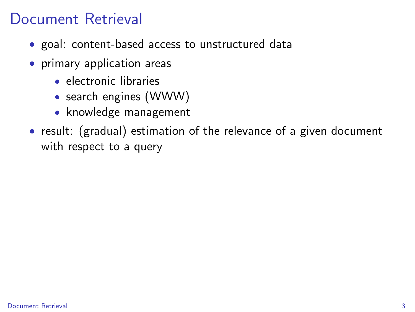- goal: content-based access to unstructured data
- primary application areas
	- electronic libraries
	- search engines (WWW)
	- knowledge management
- result: (gradual) estimation of the relevance of a given document with respect to a query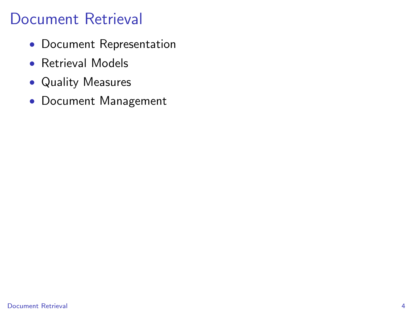- Document Representation
- Retrieval Models
- Quality Measures
- Document Management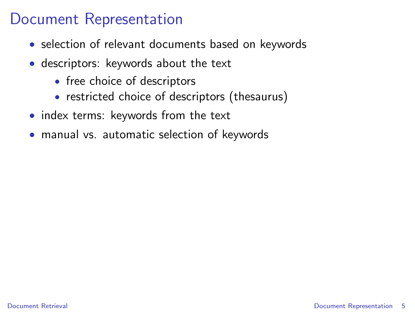#### Document Representation

- selection of relevant documents based on keywords
- descriptors: keywords about the text
	- free choice of descriptors
	- restricted choice of descriptors (thesaurus)
- index terms: keywords from the text
- <span id="page-4-0"></span>• manual vs. automatic selection of keywords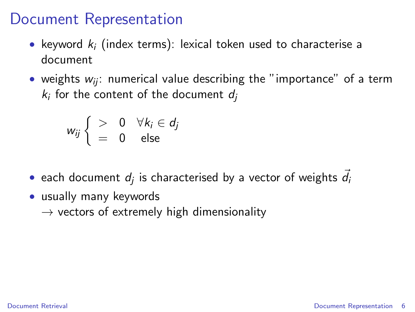#### Document Representation

- keyword  $k_i$  (index terms): lexical token used to characterise a document
- weights  $w_{ii}$ : numerical value describing the "importance" of a term  $k_i$  for the content of the document  $d_j$

$$
w_{ij} \begin{cases} \begin{array}{c} > & 0 \quad \forall k_i \in d_j \\ = & 0 \quad \text{else} \end{array} \end{cases}
$$

- $\bullet\,$  each document  $d_j$  is characterised by a vector of weights  $\vec{d}_i$
- usually many keywords
	- $\rightarrow$  vectors of extremely high dimensionality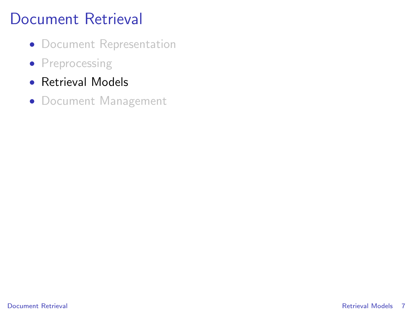- Document Representation
- Preprocessing
- Retrieval Models
- <span id="page-6-0"></span>• Document Management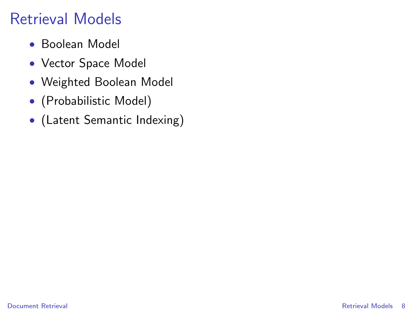## Retrieval Models

- Boolean Model
- Vector Space Model
- Weighted Boolean Model
- (Probabilistic Model)
- (Latent Semantic Indexing)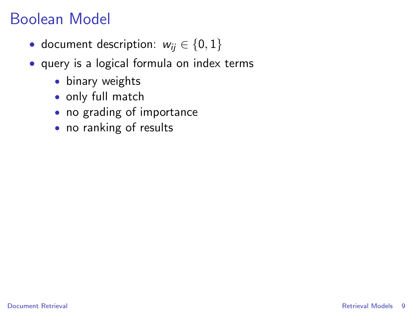### Boolean Model

- document description:  $w_{ii} \in \{0, 1\}$
- query is a logical formula on index terms
	- binary weights
	- only full match
	- no grading of importance
	- no ranking of results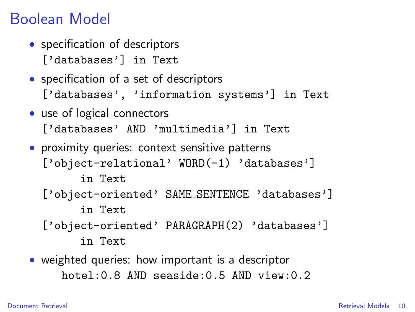### Boolean Model

- specification of descriptors ['databases'] in Text
- specification of a set of descriptors ['databases', 'information systems'] in Text
- use of logical connectors ['databases' AND 'multimedia'] in Text
- proximity queries: context sensitive patterns ['object-relational' WORD(-1) 'databases'] in Text ['object-oriented' SAME\_SENTENCE 'databases'] in Text ['object-oriented' PARAGRAPH(2) 'databases'] in Text
- weighted queries: how important is a descriptor hotel:0.8 AND seaside:0.5 AND view:0.2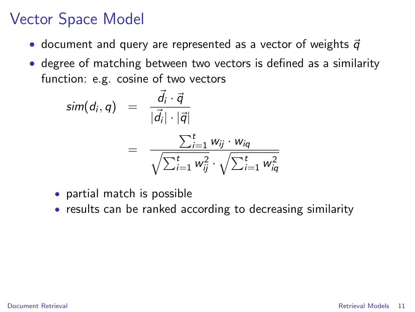- document and query are represented as a vector of weights  $\vec{q}$
- degree of matching between two vectors is defined as a similarity function: e.g. cosine of two vectors

$$
sim(d_i, q) = \frac{\vec{d}_i \cdot \vec{q}}{|\vec{d}_i| \cdot |\vec{q}|}
$$
  
= 
$$
\frac{\sum_{i=1}^t w_{ij} \cdot w_{iq}}{\sqrt{\sum_{i=1}^t w_{ij}^2} \cdot \sqrt{\sum_{i=1}^t w_{iq}^2}}
$$

- partial match is possible
- results can be ranked according to decreasing similarity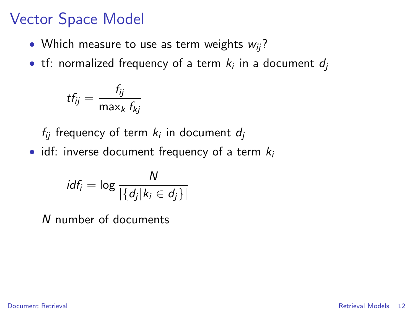- Which measure to use as term weights  $w_{ii}$ ?
- $\bullet\,$  tf: normalized frequency of a term  $\,k_i$  in a document  $d_j$

$$
tf_{ij} = \frac{f_{ij}}{\max_k f_{kj}}
$$

 $f_{ij}$  frequency of term  $k_i$  in document  $d_j$ 

• idf: inverse document frequency of a term  $k_i$ 

$$
idf_i = \log \frac{N}{|\{d_j | k_i \in d_j\}|}
$$

N number of documents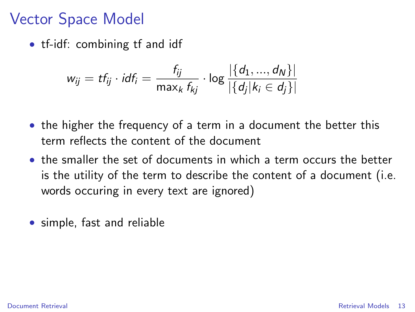• tf-idf: combining tf and idf

$$
w_{ij} = tf_{ij} \cdot idf_i = \frac{f_{ij}}{\max_k f_{kj}} \cdot \log \frac{|\{d_1, ..., d_N\}|}{|\{d_j| | k_i \in d_j\}|}
$$

- the higher the frequency of a term in a document the better this term reflects the content of the document
- the smaller the set of documents in which a term occurs the better is the utility of the term to describe the content of a document (i.e. words occuring in every text are ignored)
- simple, fast and reliable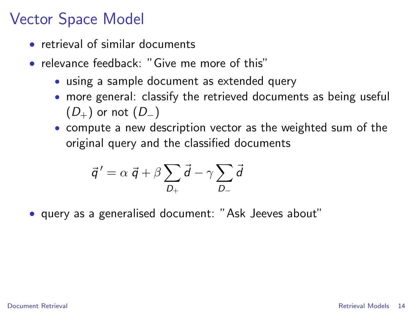- retrieval of similar documents
- relevance feedback: "Give me more of this"
	- using a sample document as extended query
	- more general: classify the retrieved documents as being useful  $(D_{+})$  or not  $(D_{-})$
	- compute a new description vector as the weighted sum of the original query and the classified documents

$$
\vec{q}' = \alpha \ \vec{q} + \beta \sum_{D_+} \vec{d} - \gamma \sum_{D_-} \vec{d}
$$

• query as a generalised document: "Ask Jeeves about"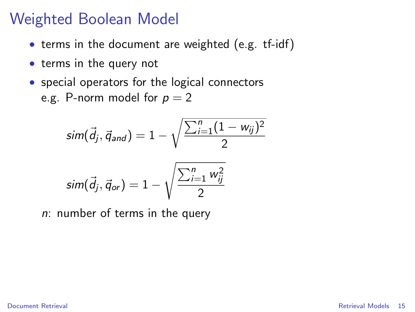### Weighted Boolean Model

- terms in the document are weighted (e.g. tf-idf)
- terms in the query not
- special operators for the logical connectors e.g. P-norm model for  $p = 2$

$$
sim(\vec{d}_j, \vec{q}_{and}) = 1 - \sqrt{\frac{\sum_{i=1}^{n} (1 - w_{ij})^2}{2}}
$$

$$
sim(\vec{d}_j, \vec{q}_{or}) = 1 - \sqrt{\frac{\sum_{i=1}^{n} w_{ij}^2}{2}}
$$

 $n:$  number of terms in the query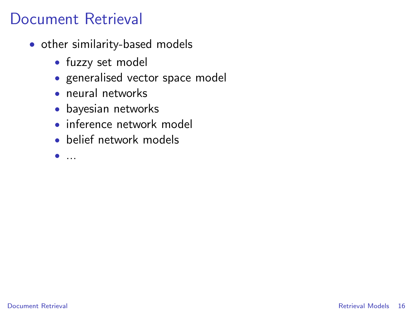- other similarity-based models
	- fuzzy set model
	- generalised vector space model
	- neural networks
	- bayesian networks
	- inference network model
	- belief network models
	- $\bullet$  ...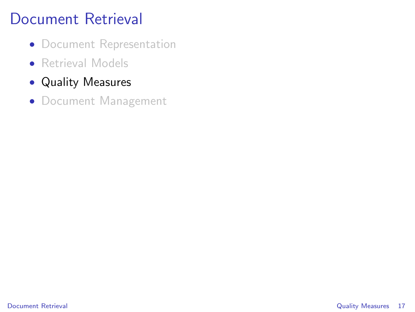- Document Representation
- Retrieval Models
- Quality Measures
- <span id="page-16-0"></span>• Document Management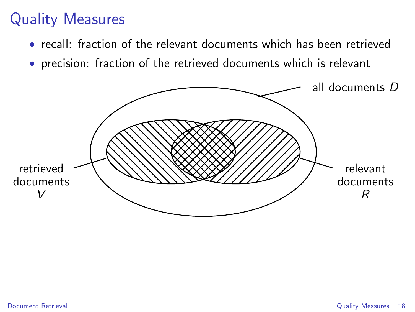- recall: fraction of the relevant documents which has been retrieved
- precision: fraction of the retrieved documents which is relevant

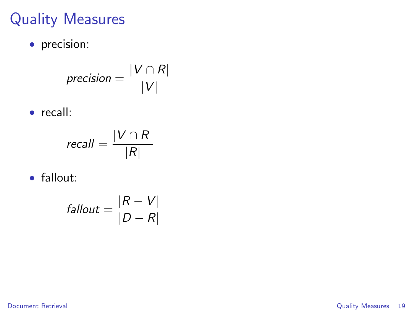• precision:

$$
precision = \frac{|V \cap R|}{|V|}
$$

• recall:

$$
recall = \frac{|V \cap R|}{|R|}
$$

• fallout:

$$
fallout = \frac{|R - V|}{|D - R|}
$$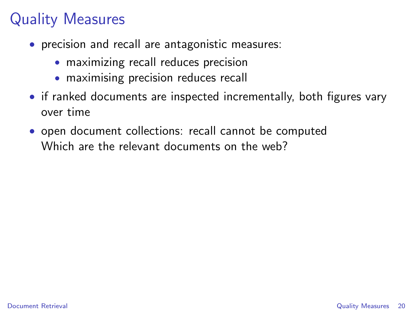- precision and recall are antagonistic measures:
	- maximizing recall reduces precision
	- maximising precision reduces recall
- if ranked documents are inspected incrementally, both figures vary over time
- open document collections: recall cannot be computed Which are the relevant documents on the web?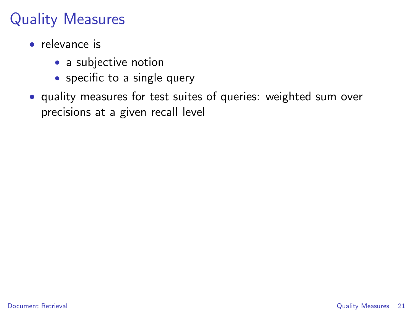- relevance is
	- a subjective notion
	- specific to a single query
- quality measures for test suites of queries: weighted sum over precisions at a given recall level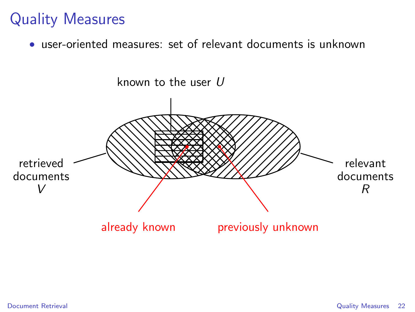• user-oriented measures: set of relevant documents is unknown

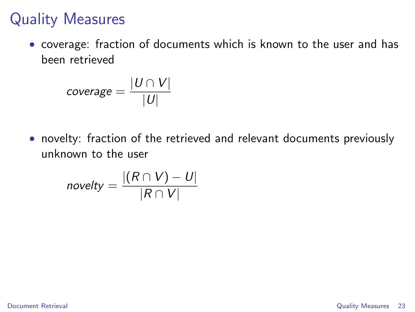• coverage: fraction of documents which is known to the user and has been retrieved

$$
coverage = \frac{|U \cap V|}{|U|}
$$

• novelty: fraction of the retrieved and relevant documents previously unknown to the user

$$
novelty = \frac{|(R \cap V) - U|}{|R \cap V|}
$$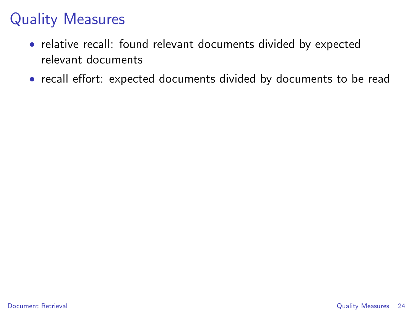- relative recall: found relevant documents divided by expected relevant documents
- recall effort: expected documents divided by documents to be read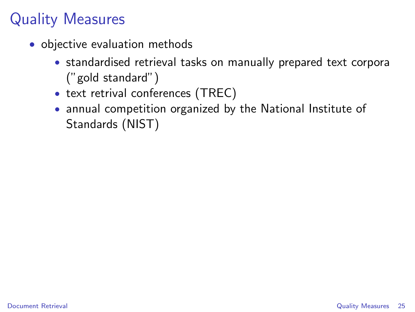- objective evaluation methods
	- standardised retrieval tasks on manually prepared text corpora ("gold standard")
	- text retrival conferences (TREC)
	- annual competition organized by the National Institute of Standards (NIST)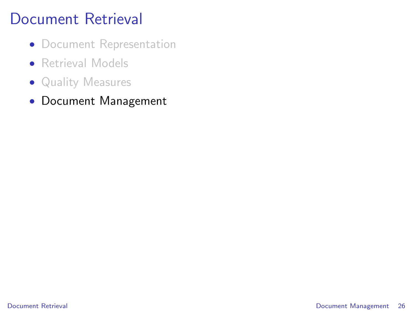- Document Representation
- Retrieval Models
- Quality Measures
- <span id="page-25-0"></span>• Document Management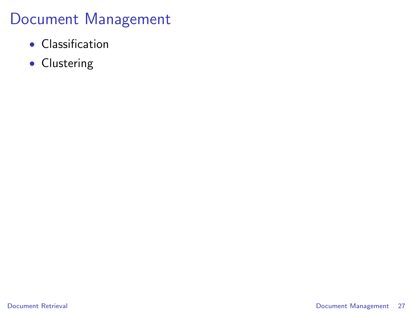### Document Management

- Classification
- Clustering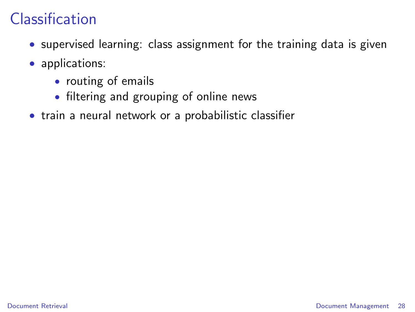## Classification

- supervised learning: class assignment for the training data is given
- applications:
	- routing of emails
	- filtering and grouping of online news
- train a neural network or a probabilistic classifier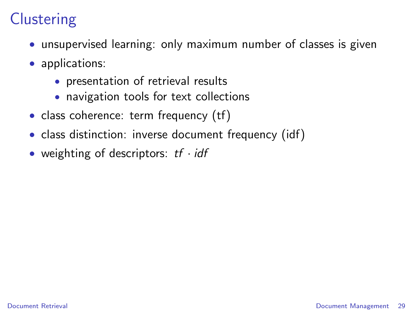# **Clustering**

- unsupervised learning: only maximum number of classes is given
- applications:
	- presentation of retrieval results
	- navigation tools for text collections
- class coherence: term frequency (tf)
- class distinction: inverse document frequency (idf)
- weighting of descriptors:  $tf \cdot idf$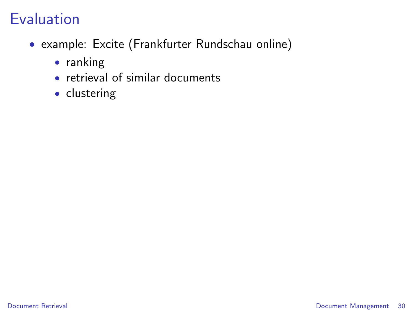- example: Excite (Frankfurter Rundschau online)
	- ranking
	- retrieval of similar documents
	- clustering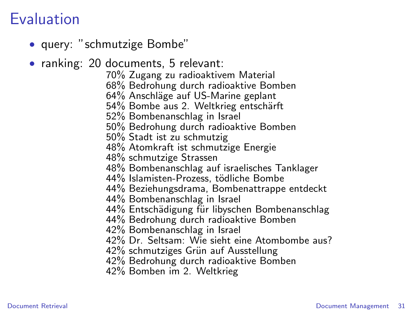- query: "schmutzige Bombe"
- ranking: 20 documents, 5 relevant:
	- 70% Zugang zu radioaktivem Material
	- 68% Bedrohung durch radioaktive Bomben
	- 64% Anschläge auf US-Marine geplant
	- 54% Bombe aus 2. Weltkrieg entschärft
	- 52% Bombenanschlag in Israel
	- 50% Bedrohung durch radioaktive Bomben
	- 50% Stadt ist zu schmutzig
	- 48% Atomkraft ist schmutzige Energie
	- 48% schmutzige Strassen
	- 48% Bombenanschlag auf israelisches Tanklager
	- 44% Islamisten-Prozess, tödliche Bombe
	- 44% Beziehungsdrama, Bombenattrappe entdeckt
	- 44% Bombenanschlag in Israel
	- 44% Entschädigung für libyschen Bombenanschlag
	- 44% Bedrohung durch radioaktive Bomben
	- 42% Bombenanschlag in Israel
	- 42% Dr. Seltsam: Wie sieht eine Atombombe aus?
	- 42% schmutziges Grün auf Ausstellung
	- 42% Bedrohung durch radioaktive Bomben
	- 42% Bomben im 2. Weltkrieg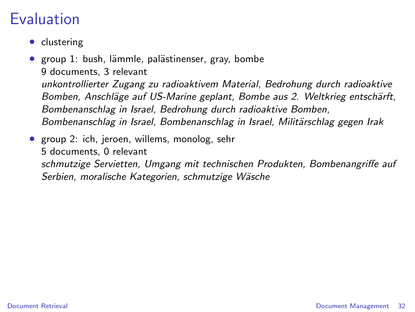- clustering
- group 1: bush, lämmle, palästinenser, gray, bombe 9 documents, 3 relevant unkontrollierter Zugang zu radioaktivem Material, Bedrohung durch radioaktive Bomben, Anschläge auf US-Marine geplant, Bombe aus 2. Weltkrieg entschärft, Bombenanschlag in Israel, Bedrohung durch radioaktive Bomben, Bombenanschlag in Israel, Bombenanschlag in Israel, Militärschlag gegen Irak
- group 2: ich, jeroen, willems, monolog, sehr 5 documents, 0 relevant schmutzige Servietten, Umgang mit technischen Produkten, Bombenangriffe auf Serbien, moralische Kategorien, schmutzige Wäsche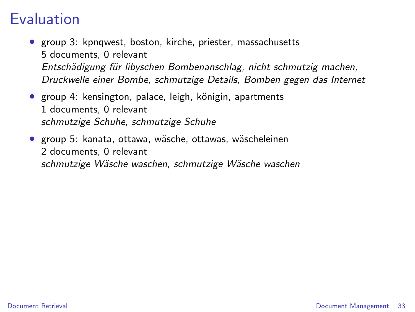- group 3: kpnqwest, boston, kirche, priester, massachusetts 5 documents, 0 relevant Entschädigung für libyschen Bombenanschlag, nicht schmutzig machen, Druckwelle einer Bombe, schmutzige Details, Bomben gegen das Internet
- group 4: kensington, palace, leigh, königin, apartments 1 documents, 0 relevant schmutzige Schuhe, schmutzige Schuhe
- group 5: kanata, ottawa, wäsche, ottawas, wäscheleinen 2 documents, 0 relevant schmutzige Wäsche waschen, schmutzige Wäsche waschen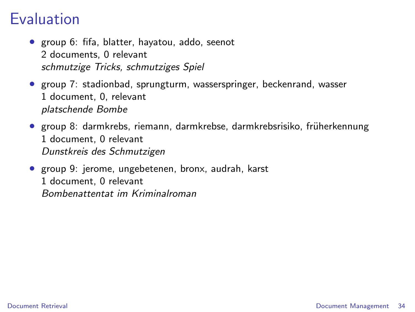- group 6: fifa, blatter, hayatou, addo, seenot 2 documents, 0 relevant schmutzige Tricks, schmutziges Spiel
- group 7: stadionbad, sprungturm, wasserspringer, beckenrand, wasser 1 document, 0, relevant platschende Bombe
- group 8: darmkrebs, riemann, darmkrebse, darmkrebsrisiko, früherkennung 1 document, 0 relevant Dunstkreis des Schmutzigen
- group 9: jerome, ungebetenen, bronx, audrah, karst 1 document, 0 relevant Bombenattentat im Kriminalroman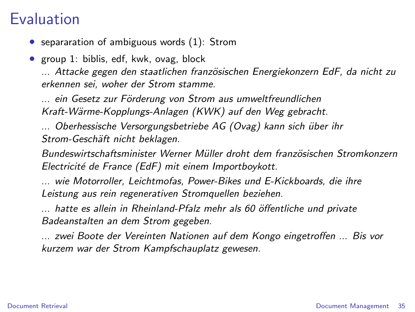• separaration of ambiguous words (1): Strom

• group 1: biblis, edf, kwk, ovag, block ... Attacke gegen den staatlichen französischen Energiekonzern EdF, da nicht zu erkennen sei, woher der Strom stamme.

... ein Gesetz zur Förderung von Strom aus umweltfreundlichen Kraft-Wärme-Kopplungs-Anlagen (KWK) auf den Weg gebracht.

... Oberhessische Versorgungsbetriebe AG (Ovag) kann sich über ihr Strom-Geschäft nicht beklagen.

Bundeswirtschaftsminister Werner Müller droht dem französischen Stromkonzern Electricité de France (EdF) mit einem Importboykott.

... wie Motorroller, Leichtmofas, Power-Bikes und E-Kickboards, die ihre Leistung aus rein regenerativen Stromquellen beziehen.

... hatte es allein in Rheinland-Pfalz mehr als 60 öffentliche und private Badeanstalten an dem Strom gegeben.

... zwei Boote der Vereinten Nationen auf dem Kongo eingetroffen ... Bis vor kurzem war der Strom Kampfschauplatz gewesen.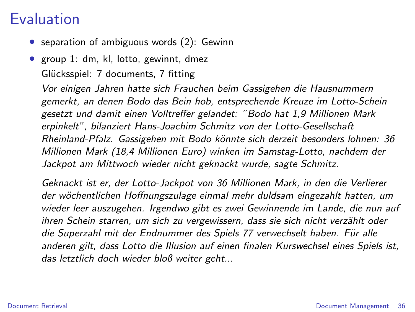- separation of ambiguous words (2): Gewinn
- group 1: dm, kl, lotto, gewinnt, dmez Glücksspiel: 7 documents, 7 fitting

Vor einigen Jahren hatte sich Frauchen beim Gassigehen die Hausnummern gemerkt, an denen Bodo das Bein hob, entsprechende Kreuze im Lotto-Schein gesetzt und damit einen Volltreffer gelandet: "Bodo hat 1,9 Millionen Mark erpinkelt", bilanziert Hans-Joachim Schmitz von der Lotto-Gesellschaft Rheinland-Pfalz. Gassigehen mit Bodo könnte sich derzeit besonders lohnen: 36 Millionen Mark (18,4 Millionen Euro) winken im Samstag-Lotto, nachdem der Jackpot am Mittwoch wieder nicht geknackt wurde, sagte Schmitz.

Geknackt ist er, der Lotto-Jackpot von 36 Millionen Mark, in den die Verlierer der wöchentlichen Hoffnungszulage einmal mehr duldsam eingezahlt hatten, um wieder leer auszugehen. Irgendwo gibt es zwei Gewinnende im Lande, die nun auf ihren Schein starren, um sich zu vergewissern, dass sie sich nicht verzählt oder die Superzahl mit der Endnummer des Spiels 77 verwechselt haben. Für alle anderen gilt, dass Lotto die Illusion auf einen finalen Kurswechsel eines Spiels ist, das letztlich doch wieder bloß weiter geht...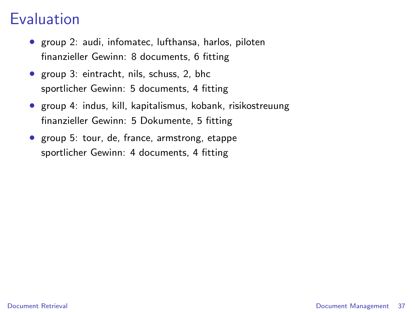#### Evaluation

- group 2: audi, infomatec, lufthansa, harlos, piloten finanzieller Gewinn: 8 documents, 6 fitting
- group 3: eintracht, nils, schuss, 2, bhc sportlicher Gewinn: 5 documents, 4 fitting
- group 4: indus, kill, kapitalismus, kobank, risikostreuung finanzieller Gewinn: 5 Dokumente, 5 fitting
- group 5: tour, de, france, armstrong, etappe sportlicher Gewinn: 4 documents, 4 fitting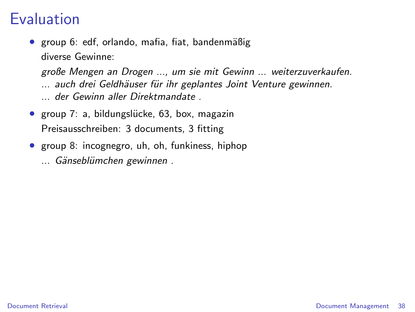#### Evaluation

● group 6: edf, orlando, mafia, fiat, bandenmäßig diverse Gewinne:

große Mengen an Drogen ..., um sie mit Gewinn ... weiterzuverkaufen. ... auch drei Geldhäuser für ihr geplantes Joint Venture gewinnen. ... der Gewinn aller Direktmandate .

- group 7: a, bildungslücke, 63, box, magazin Preisausschreiben: 3 documents, 3 fitting
- group 8: incognegro, uh, oh, funkiness, hiphop ... Gänseblümchen gewinnen .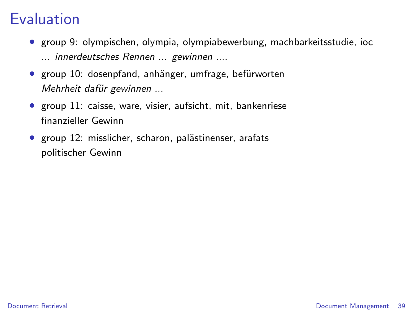#### Evaluation

- group 9: olympischen, olympia, olympiabewerbung, machbarkeitsstudie, ioc ... innerdeutsches Rennen ... gewinnen ....
- group 10: dosenpfand, anhänger, umfrage, befürworten Mehrheit dafür gewinnen ...
- group 11: caisse, ware, visier, aufsicht, mit, bankenriese finanzieller Gewinn
- group 12: misslicher, scharon, palästinenser, arafats politischer Gewinn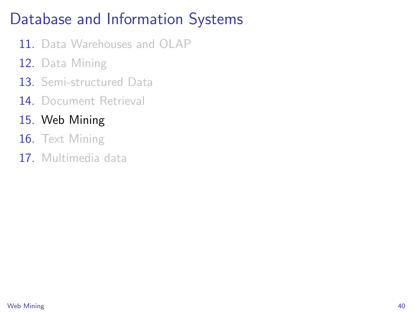## Database and Information Systems

- 11. Data Warehouses and OLAP
- 12. Data Mining
- 13. Semi-structured Data
- 14 Document Retrieval
- 15. Web Mining
- 16. Text Mining
- <span id="page-39-0"></span>17. Multimedia data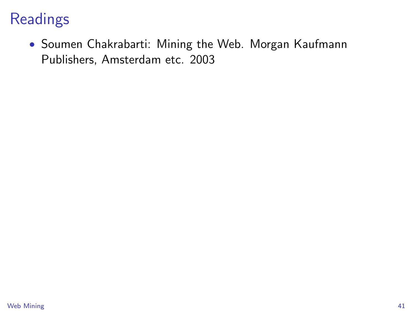## **Readings**

• Soumen Chakrabarti: Mining the Web. Morgan Kaufmann Publishers, Amsterdam etc. 2003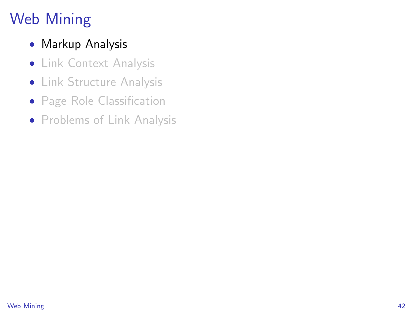# Web Mining

- Markup Analysis
- Link Context Analysis
- Link Structure Analysis
- Page Role Classification
- Problems of Link Analysis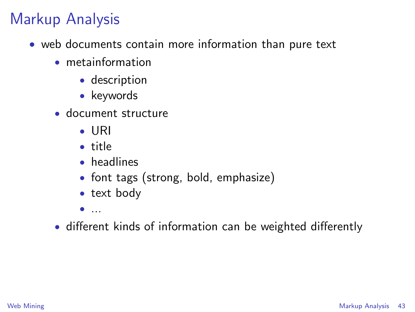#### Markup Analysis

- <span id="page-42-0"></span>• web documents contain more information than pure text
	- metainformation
		- description
		- keywords
	- document structure
		- URI
		- title
		- headlines
		- font tags (strong, bold, emphasize)
		- text body
		- $\bullet$  ...
	- different kinds of information can be weighted differently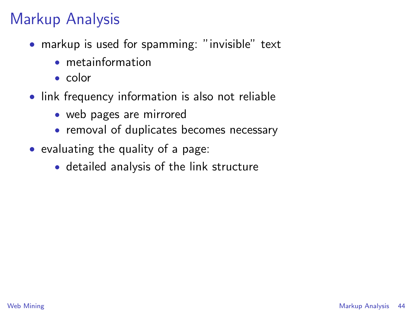## Markup Analysis

- markup is used for spamming: "invisible" text
	- metainformation
	- color
- link frequency information is also not reliable
	- web pages are mirrored
	- removal of duplicates becomes necessary
- evaluating the quality of a page:
	- detailed analysis of the link structure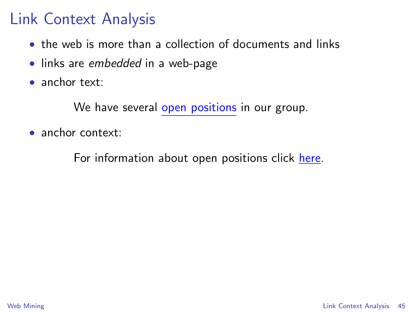- the web is more than a collection of documents and links
- links are embedded in a web-page
- anchor text:

We have several open positions in our group.

• anchor context:

<span id="page-44-0"></span>For information about open positions click here.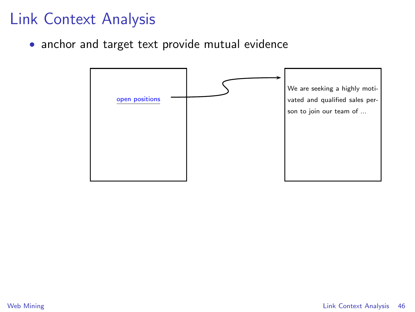• anchor and target text provide mutual evidence

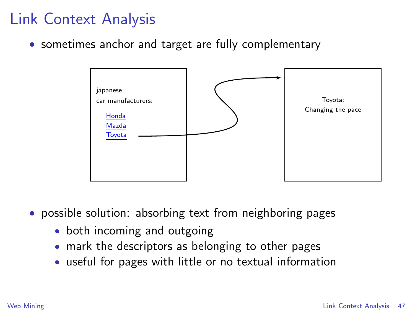• sometimes anchor and target are fully complementary



- possible solution: absorbing text from neighboring pages
	- both incoming and outgoing
	- mark the descriptors as belonging to other pages
	- useful for pages with little or no textual information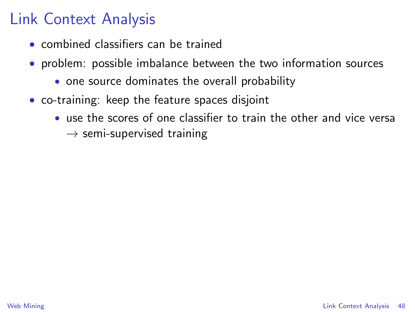- combined classifiers can be trained
- problem: possible imbalance between the two information sources
	- one source dominates the overall probability
- co-training: keep the feature spaces disjoint
	- use the scores of one classifier to train the other and vice versa
		- $\rightarrow$  semi-supervised training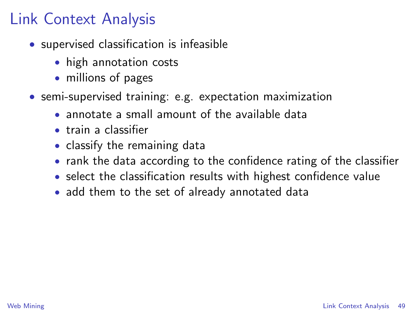- supervised classification is infeasible
	- high annotation costs
	- millions of pages
- semi-supervised training: e.g. expectation maximization
	- annotate a small amount of the available data
	- train a classifier
	- classify the remaining data
	- rank the data according to the confidence rating of the classifier
	- select the classification results with highest confidence value
	- add them to the set of already annotated data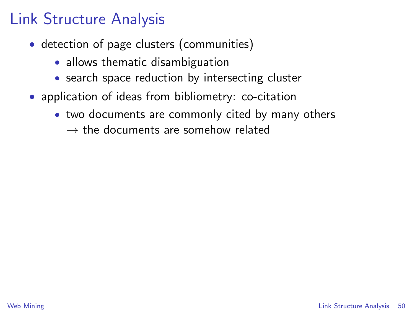## Link Structure Analysis

- detection of page clusters (communities)
	- allows thematic disambiguation
	- search space reduction by intersecting cluster
- <span id="page-49-0"></span>• application of ideas from bibliometry: co-citation
	- two documents are commonly cited by many others
		- $\rightarrow$  the documents are somehow related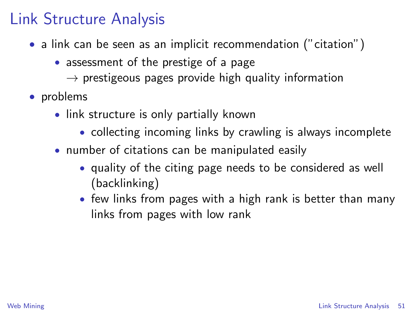#### Link Structure Analysis

- a link can be seen as an implicit recommendation ("citation")
	- assessment of the prestige of a page
		- $\rightarrow$  prestigeous pages provide high quality information
- problems
	- link structure is only partially known
		- collecting incoming links by crawling is always incomplete
	- number of citations can be manipulated easily
		- quality of the citing page needs to be considered as well (backlinking)
		- few links from pages with a high rank is better than many links from pages with low rank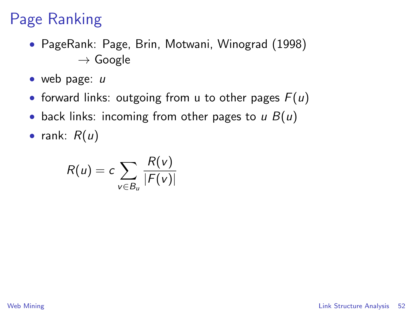- PageRank: Page, Brin, Motwani, Winograd (1998)  $\rightarrow$  Google
- web page: u
- forward links: outgoing from u to other pages  $F(u)$
- back links: incoming from other pages to  $\mu$   $B(\mu)$
- rank:  $R(u)$

$$
R(u) = c \sum_{v \in B_u} \frac{R(v)}{|F(v)|}
$$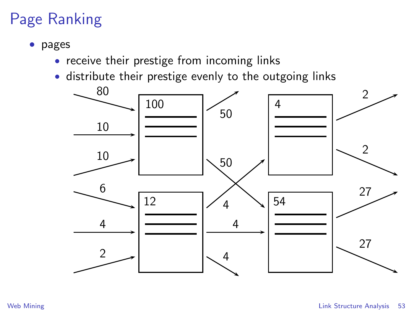- pages
	- receive their prestige from incoming links
	- distribute their prestige evenly to the outgoing links

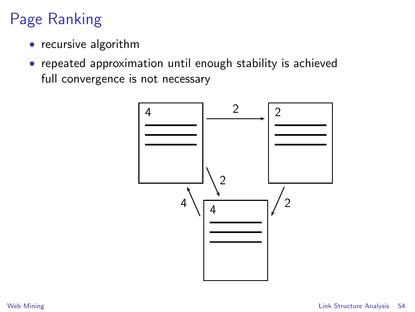- recursive algorithm
- repeated approximation until enough stability is achieved full convergence is not necessary

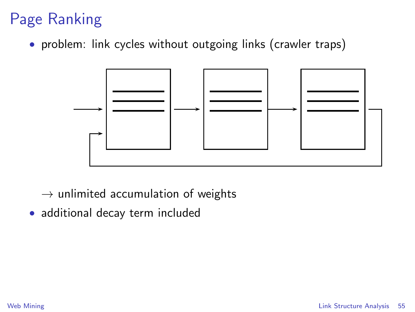• problem: link cycles without outgoing links (crawler traps)



- $\rightarrow$  unlimited accumulation of weights
- additional decay term included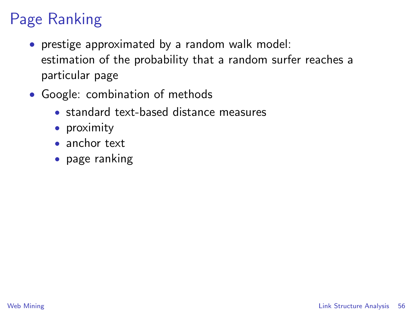- prestige approximated by a random walk model: estimation of the probability that a random surfer reaches a particular page
- Google: combination of methods
	- standard text-based distance measures
	- proximity
	- anchor text
	- page ranking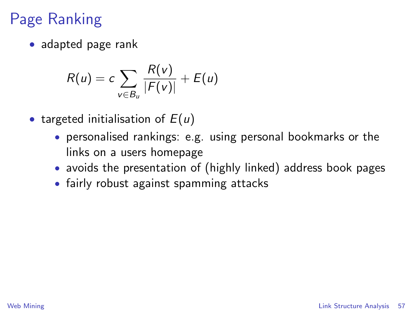• adapted page rank

$$
R(u) = c \sum_{v \in B_u} \frac{R(v)}{|F(v)|} + E(u)
$$

- targeted initialisation of  $E(u)$ 
	- personalised rankings: e.g. using personal bookmarks or the links on a users homepage
	- avoids the presentation of (highly linked) address book pages
	- fairly robust against spamming attacks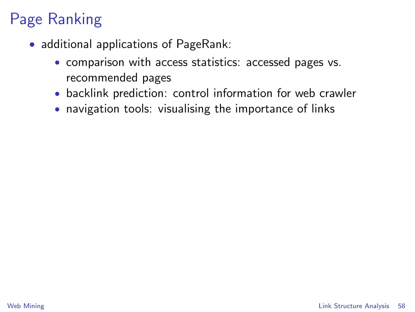- additional applications of PageRank:
	- comparison with access statistics: accessed pages vs. recommended pages
	- backlink prediction: control information for web crawler
	- navigation tools: visualising the importance of links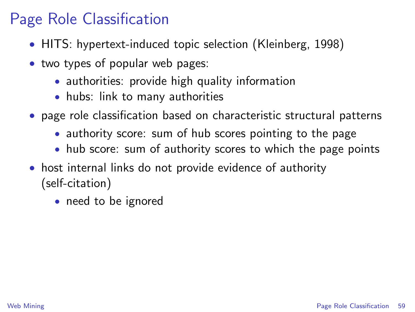- HITS: hypertext-induced topic selection (Kleinberg, 1998)
- two types of popular web pages:
	- authorities: provide high quality information
	- hubs: link to many authorities
- page role classification based on characteristic structural patterns
	- authority score: sum of hub scores pointing to the page
	- hub score: sum of authority scores to which the page points
- <span id="page-58-0"></span>• host internal links do not provide evidence of authority (self-citation)
	- need to be ignored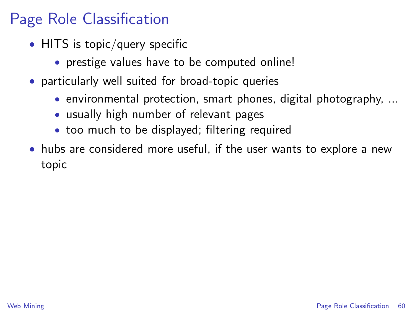- HITS is topic/query specific
	- prestige values have to be computed online!
- particularly well suited for broad-topic queries
	- environmental protection, smart phones, digital photography, ...
	- usually high number of relevant pages
	- too much to be displayed; filtering required
- <span id="page-59-0"></span>• hubs are considered more useful, if the user wants to explore a new topic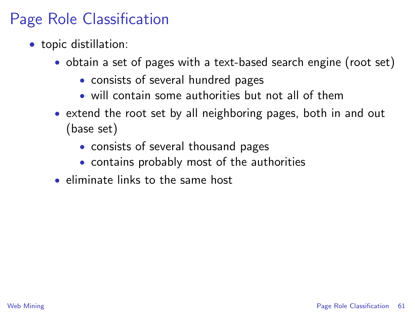- topic distillation:
	- obtain a set of pages with a text-based search engine (root set)
		- consists of several hundred pages
		- will contain some authorities but not all of them
	- extend the root set by all neighboring pages, both in and out (base set)
		- consists of several thousand pages
		- contains probably most of the authorities
	- eliminate links to the same host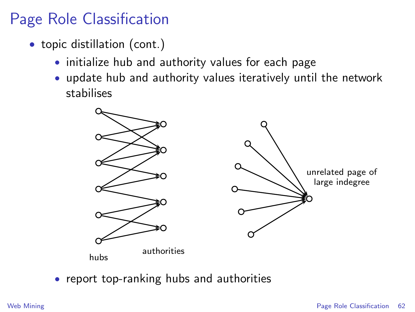- topic distillation (cont.)
	- initialize hub and authority values for each page
	- update hub and authority values iteratively until the network stabilises



• report top-ranking hubs and authorities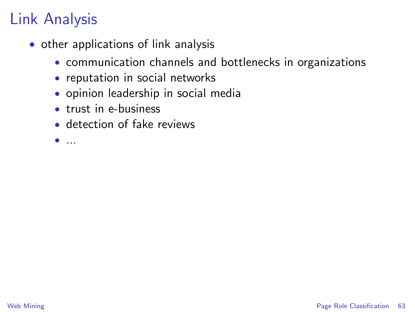## Link Analysis

- other applications of link analysis
	- communication channels and bottlenecks in organizations
	- reputation in social networks
	- opinion leadership in social media
	- trust in e-business
	- detection of fake reviews
	- $\bullet$  ...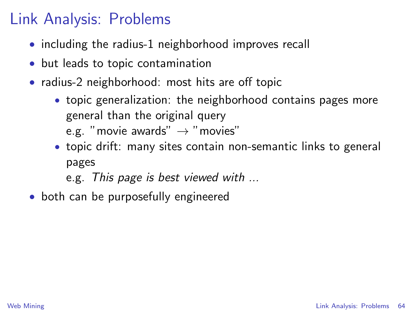#### Link Analysis: Problems

- including the radius-1 neighborhood improves recall
- but leads to topic contamination
- radius-2 neighborhood: most hits are off topic
	- topic generalization: the neighborhood contains pages more general than the original query e.g. "movie awards"  $\rightarrow$  "movies"
	- topic drift: many sites contain non-semantic links to general pages
		- e.g. This page is best viewed with ...
- <span id="page-63-0"></span>• both can be purposefully engineered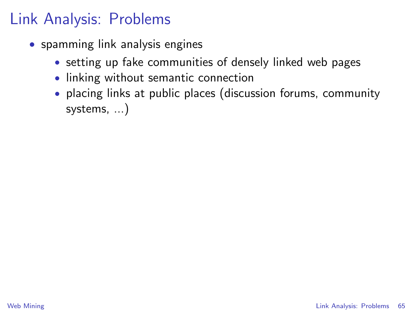## Link Analysis: Problems

- spamming link analysis engines
	- setting up fake communities of densely linked web pages
	- linking without semantic connection
	- placing links at public places (discussion forums, community systems, ...)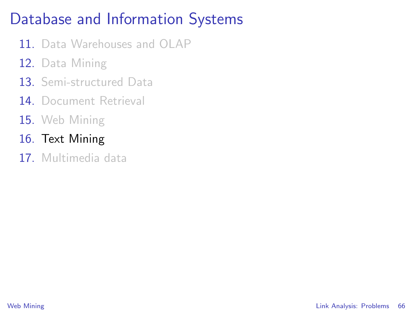## Database and Information Systems

- 11. Data Warehouses and OLAP
- 12. Data Mining
- 13. Semi-structured Data
- 14 Document Retrieval
- 15. Web Mining
- 16. Text Mining
- 17. Multimedia data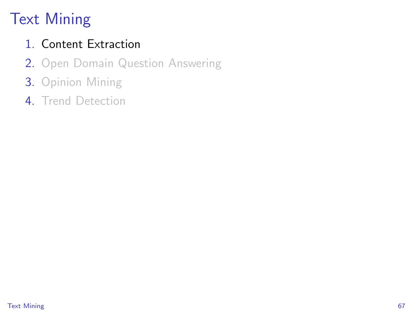# Text Mining

#### 1. Content Extraction

- 2. Open Domain Question Answering
- 3. Opinion Mining
- <span id="page-66-0"></span>4. Trend Detection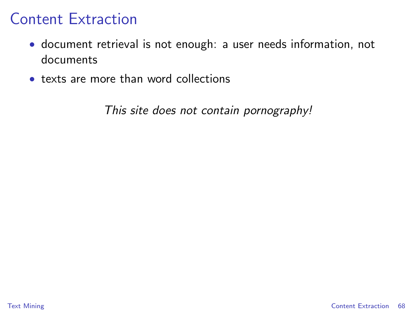- document retrieval is not enough: a user needs information, not documents
- texts are more than word collections

<span id="page-67-0"></span>This site does not contain pornography!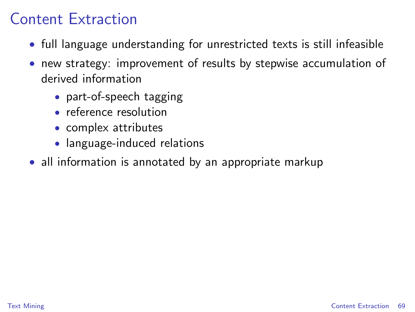- full language understanding for unrestricted texts is still infeasible
- new strategy: improvement of results by stepwise accumulation of derived information
	- part-of-speech tagging
	- reference resolution
	- complex attributes
	- language-induced relations
- all information is annotated by an appropriate markup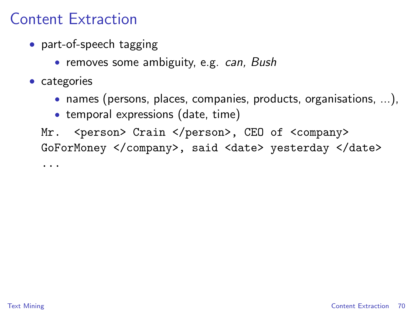- part-of-speech tagging
	- removes some ambiguity, e.g. *can*, Bush
- categories
	- names (persons, places, companies, products, organisations, ...),
	- temporal expressions (date, time)

Mr. <person> Crain </person>, CEO of <company> GoForMoney </company>, said <date> yesterday </date>

...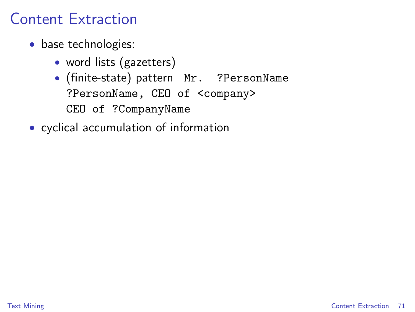- base technologies:
	- word lists (gazetters)
	- (finite-state) pattern Mr. ?PersonName ?PersonName, CEO of <company> CEO of ?CompanyName
- cyclical accumulation of information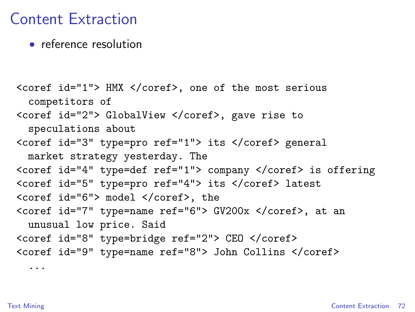• reference resolution

```
<coref id="1"> HMX </coref>, one of the most serious
 competitors of
<coref id="2"> GlobalView </coref>, gave rise to
 speculations about
<coref id="3" type=pro ref="1"> its </coref> general
 market strategy yesterday. The
<coref id="4" type=def ref="1"> company </coref> is offering
<coref id="5" type=pro ref="4"> its </coref> latest
<coref id="6"> model </coref>, the
<coref id="7" type=name ref="6"> GV200x </coref>, at an
 unusual low price. Said
<coref id="8" type=bridge ref="2"> CEO </coref>
<coref id="9" type=name ref="8"> John Collins </coref>
  ...
```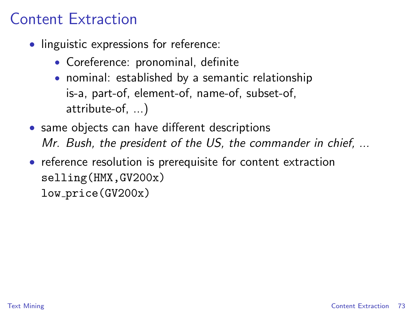### Content Extraction

- linguistic expressions for reference:
	- Coreference: pronominal, definite
	- nominal: established by a semantic relationship is-a, part-of, element-of, name-of, subset-of, attribute-of, ...)
- same objects can have different descriptions Mr. Bush, the president of the US, the commander in chief, ...
- reference resolution is prerequisite for content extraction selling(HMX,GV200x) low price(GV200x)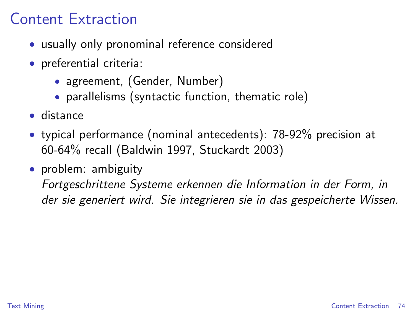### Content Extraction

- usually only pronominal reference considered
- preferential criteria:
	- agreement, (Gender, Number)
	- parallelisms (syntactic function, thematic role)
- distance
- typical performance (nominal antecedents): 78-92% precision at 60-64% recall (Baldwin 1997, Stuckardt 2003)
- problem: ambiguity Fortgeschrittene Systeme erkennen die Information in der Form, in der sie generiert wird. Sie integrieren sie in das gespeicherte Wissen.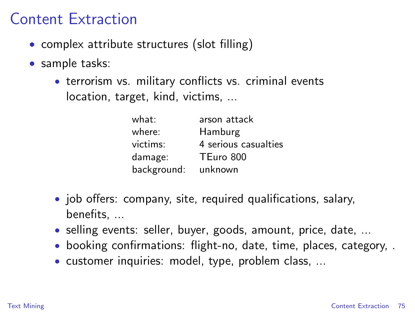#### Content Extraction

- complex attribute structures (slot filling)
- sample tasks:
	- terrorism vs. military conflicts vs. criminal events location, target, kind, victims, ...

| what:       | arson attack         |
|-------------|----------------------|
| where:      | Hamburg              |
| victims:    | 4 serious casualties |
| damage:     | TEuro 800            |
| background: | unknown              |

- job offers: company, site, required qualifications, salary, benefits, ...
- selling events: seller, buyer, goods, amount, price, date, ...
- booking confirmations: flight-no, date, time, places, category, .
- customer inquiries: model, type, problem class, ...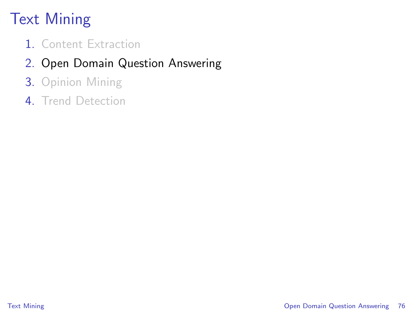# Text Mining

- 1. Content Extraction
- 2. Open Domain Question Answering
- 3. Opinion Mining
- <span id="page-75-0"></span>4 Trend Detection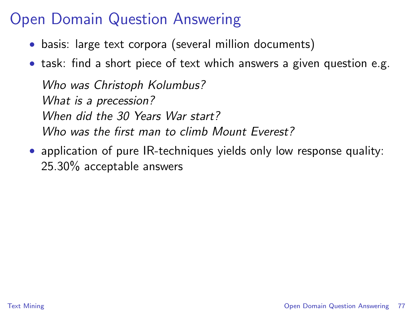### Open Domain Question Answering

- basis: large text corpora (several million documents)
- task: find a short piece of text which answers a given question e.g.

Who was Christoph Kolumbus? What is a precession? When did the 30 Years War start? Who was the first man to climb Mount Everest?

• application of pure IR-techniques yields only low response quality: 25.30% acceptable answers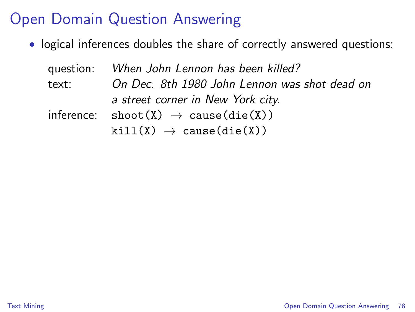### Open Domain Question Answering

• logical inferences doubles the share of correctly answered questions:

|       | question: When John Lennon has been killed?                          |  |  |  |
|-------|----------------------------------------------------------------------|--|--|--|
| text: | On Dec. 8th 1980 John Lennon was shot dead on                        |  |  |  |
|       | a street corner in New York city.                                    |  |  |  |
|       | inference: $\text{shoot}(X) \rightarrow \text{cause}(\text{die}(X))$ |  |  |  |
|       | $kill(X) \rightarrow cause(die(X))$                                  |  |  |  |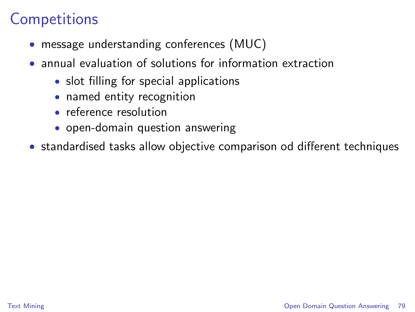### **Competitions**

- message understanding conferences (MUC)
- annual evaluation of solutions for information extraction
	- slot filling for special applications
	- named entity recognition
	- reference resolution
	- open-domain question answering
- standardised tasks allow objective comparison od different techniques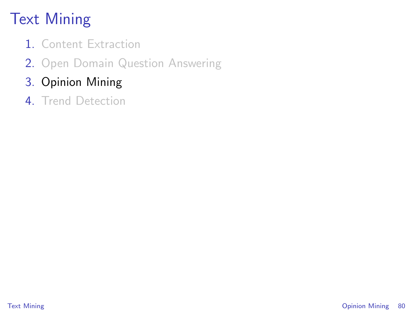# Text Mining

- 1. Content Extraction
- 2. Open Domain Question Answering
- 3. Opinion Mining
- <span id="page-79-0"></span>4. Trend Detection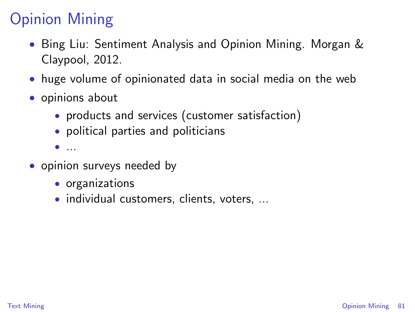- Bing Liu: Sentiment Analysis and Opinion Mining. Morgan & Claypool, 2012.
- huge volume of opinionated data in social media on the web
- opinions about
	- products and services (customer satisfaction)
	- political parties and politicians
	- ...
- opinion surveys needed by
	- organizations
	- individual customers, clients, voters, ...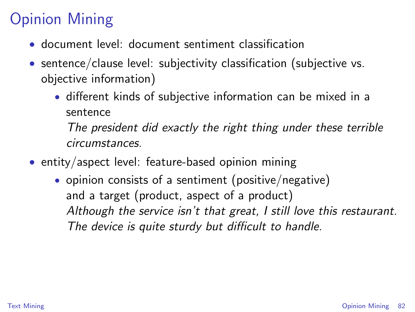- document level: document sentiment classification
- sentence/clause level: subjectivity classification (subjective vs. objective information)
	- different kinds of subjective information can be mixed in a sentence

The president did exactly the right thing under these terrible circumstances.

- entity/aspect level: feature-based opinion mining
	- opinion consists of a sentiment (positive/negative) and a target (product, aspect of a product) Although the service isn't that great, I still love this restaurant. The device is quite sturdy but difficult to handle.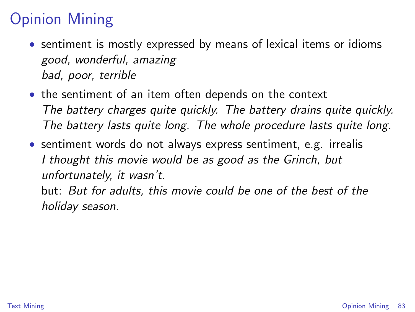- sentiment is mostly expressed by means of lexical items or idioms good, wonderful, amazing bad, poor, terrible
- the sentiment of an item often depends on the context The battery charges quite quickly. The battery drains quite quickly. The battery lasts quite long. The whole procedure lasts quite long.
- sentiment words do not always express sentiment, e.g. irrealis I thought this movie would be as good as the Grinch, but unfortunately, it wasn't. but: But for adults, this movie could be one of the best of the

holiday season.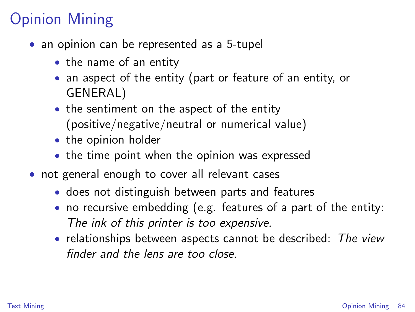- an opinion can be represented as a 5-tupel
	- the name of an entity
	- an aspect of the entity (part or feature of an entity, or GENERAL)
	- the sentiment on the aspect of the entity (positive/negative/neutral or numerical value)
	- the opinion holder
	- the time point when the opinion was expressed
- not general enough to cover all relevant cases
	- does not distinguish between parts and features
	- no recursive embedding (e.g. features of a part of the entity: The ink of this printer is too expensive.
	- relationships between aspects cannot be described: The view finder and the lens are too close.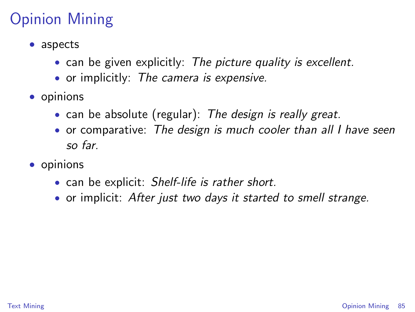- aspects
	- can be given explicitly: The picture quality is excellent.
	- or implicitly: The camera is expensive.
- opinions
	- can be absolute (regular): The design is really great.
	- or comparative: The design is much cooler than all I have seen so far.
- opinions
	- can be explicit: Shelf-life is rather short.
	- or implicit: After just two days it started to smell strange.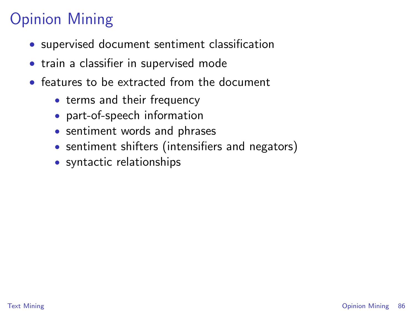- supervised document sentiment classification
- train a classifier in supervised mode
- features to be extracted from the document
	- terms and their frequency
	- part-of-speech information
	- sentiment words and phrases
	- sentiment shifters (intensifiers and negators)
	- syntactic relationships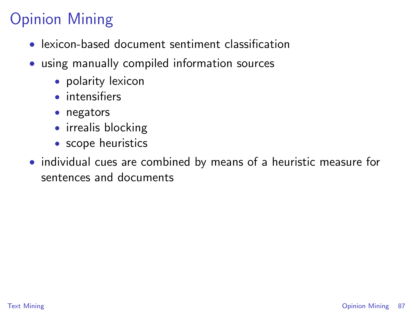- lexicon-based document sentiment classification
- using manually compiled information sources
	- polarity lexicon
	- intensifiers
	- negators
	- irrealis blocking
	- scope heuristics
- individual cues are combined by means of a heuristic measure for sentences and documents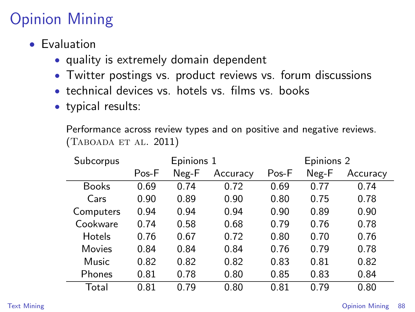- Evaluation
	- quality is extremely domain dependent
	- Twitter postings vs. product reviews vs. forum discussions
	- technical devices vs. hotels vs. films vs. books
	- typical results:

Performance across review types and on positive and negative reviews. (Taboada et al. 2011)

| Subcorpus     | Epinions 1 |       |          | Epinions 2 |       |          |  |
|---------------|------------|-------|----------|------------|-------|----------|--|
|               | Pos-F      | Neg-F | Accuracy | Pos-F      | Neg-F | Accuracy |  |
| Books         | 0.69       | 0.74  | 0.72     | 0.69       | 0.77  | 0.74     |  |
| Cars          | 0.90       | 0.89  | 0.90     | 0.80       | 0.75  | 0.78     |  |
| Computers     | 0.94       | 0.94  | 0.94     | 0.90       | 0.89  | 0.90     |  |
| Cookware      | 0.74       | 0.58  | 0.68     | 0.79       | 0.76  | 0.78     |  |
| <b>Hotels</b> | 0.76       | 0.67  | 0.72     | 0.80       | 0.70  | 0.76     |  |
| Movies        | 0.84       | 0.84  | 0.84     | 0.76       | 0.79  | 0.78     |  |
| Music         | 0.82       | 0.82  | 0.82     | 0.83       | 0.81  | 0.82     |  |
| Phones        | 0.81       | 0.78  | 0.80     | 0.85       | 0.83  | 0.84     |  |
| Total         | 0.81       | 0.79  | 0.80     | 0.81       | 0.79  | 0.80     |  |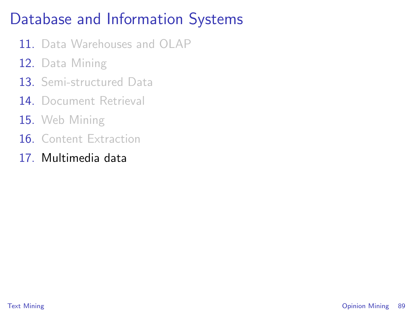## Database and Information Systems

- 11. Data Warehouses and OLAP
- 12. Data Mining
- 13. Semi-structured Data
- 14 Document Retrieval
- 15. Web Mining
- 16 Content Extraction
- 17. Multimedia data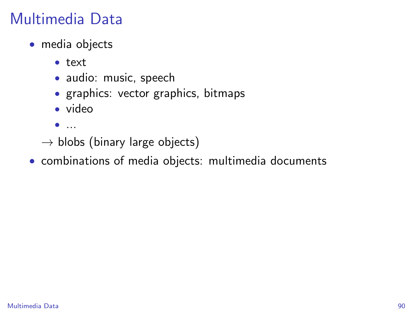- media objects
	- text
	- audio: music, speech
	- graphics: vector graphics, bitmaps
	- video
	- $\bullet$  ...
	- $\rightarrow$  blobs (binary large objects)
- <span id="page-89-0"></span>• combinations of media objects: multimedia documents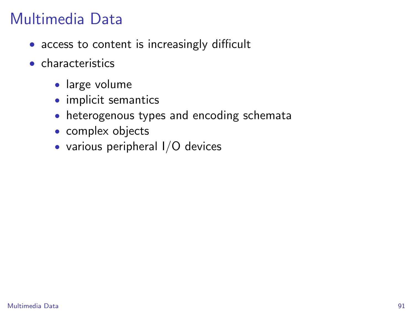- access to content is increasingly difficult
- characteristics
	- large volume
	- implicit semantics
	- heterogenous types and encoding schemata
	- complex objects
	- various peripheral I/O devices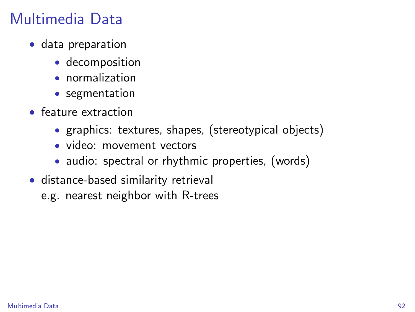- data preparation
	- decomposition
	- normalization
	- segmentation
- feature extraction
	- graphics: textures, shapes, (stereotypical objects)
	- video: movement vectors
	- audio: spectral or rhythmic properties, (words)
- distance-based similarity retrieval
	- e.g. nearest neighbor with R-trees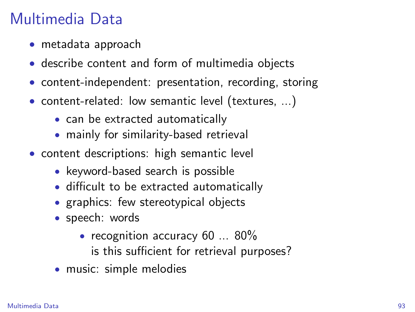- metadata approach
- describe content and form of multimedia objects
- content-independent: presentation, recording, storing
- content-related: low semantic level (textures, ...)
	- can be extracted automatically
	- mainly for similarity-based retrieval
- content descriptions: high semantic level
	- keyword-based search is possible
	- difficult to be extracted automatically
	- graphics: few stereotypical objects
	- speech: words
		- recognition accuracy 60 ... 80%
			- is this sufficient for retrieval purposes?
	- music: simple melodies